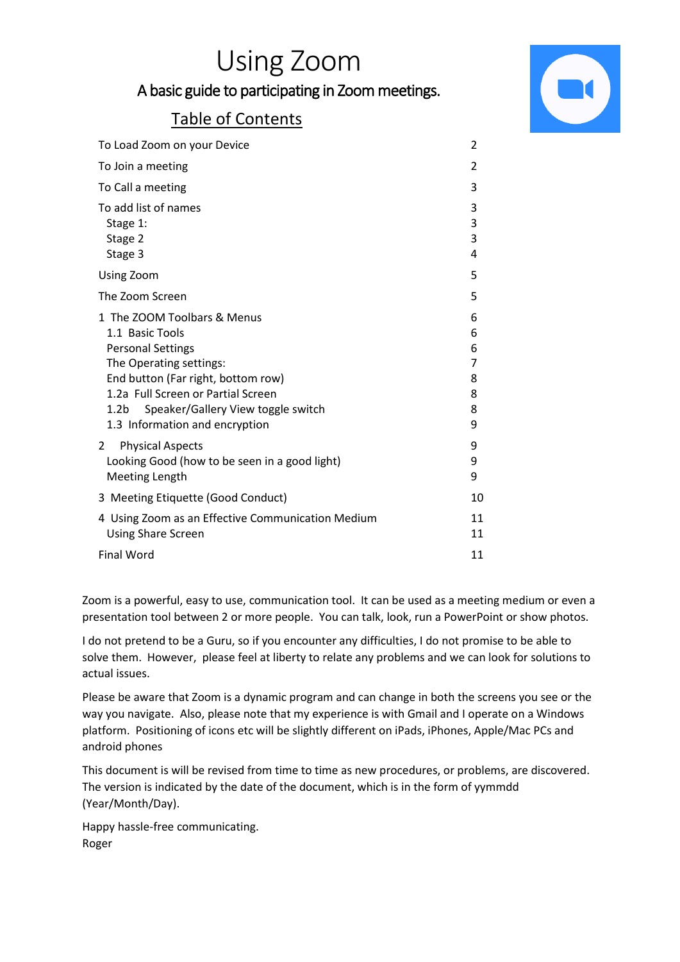# Using Zoom

### A basic guide to participating in Zoom meetings.

### Table of Contents



| To Load Zoom on your Device                                                                                                                                                                                                                                                   | $\overline{2}$                       |
|-------------------------------------------------------------------------------------------------------------------------------------------------------------------------------------------------------------------------------------------------------------------------------|--------------------------------------|
| To Join a meeting                                                                                                                                                                                                                                                             | 2                                    |
| To Call a meeting                                                                                                                                                                                                                                                             | 3                                    |
| To add list of names<br>Stage 1:<br>Stage 2<br>Stage 3                                                                                                                                                                                                                        | 3<br>3<br>3<br>4                     |
| Using Zoom                                                                                                                                                                                                                                                                    | 5                                    |
| The Zoom Screen                                                                                                                                                                                                                                                               | 5                                    |
| 1 The ZOOM Toolbars & Menus<br>1.1 Basic Tools<br><b>Personal Settings</b><br>The Operating settings:<br>End button (Far right, bottom row)<br>1.2a Full Screen or Partial Screen<br>Speaker/Gallery View toggle switch<br>1.2 <sub>b</sub><br>1.3 Information and encryption | 6<br>6<br>6<br>7<br>8<br>8<br>8<br>9 |
| <b>Physical Aspects</b><br>2<br>Looking Good (how to be seen in a good light)<br><b>Meeting Length</b>                                                                                                                                                                        | 9<br>9<br>9                          |
| 3 Meeting Etiquette (Good Conduct)                                                                                                                                                                                                                                            | 10                                   |
| 4 Using Zoom as an Effective Communication Medium<br><b>Using Share Screen</b>                                                                                                                                                                                                | 11<br>11                             |
| <b>Final Word</b>                                                                                                                                                                                                                                                             | 11                                   |

Zoom is a powerful, easy to use, communication tool. It can be used as a meeting medium or even a presentation tool between 2 or more people. You can talk, look, run a PowerPoint or show photos.

I do not pretend to be a Guru, so if you encounter any difficulties, I do not promise to be able to solve them. However, please feel at liberty to relate any problems and we can look for solutions to actual issues.

Please be aware that Zoom is a dynamic program and can change in both the screens you see or the way you navigate. Also, please note that my experience is with Gmail and I operate on a Windows platform. Positioning of icons etc will be slightly different on iPads, iPhones, Apple/Mac PCs and android phones

This document is will be revised from time to time as new procedures, or problems, are discovered. The version is indicated by the date of the document, which is in the form of yymmdd (Year/Month/Day).

Happy hassle-free communicating. Roger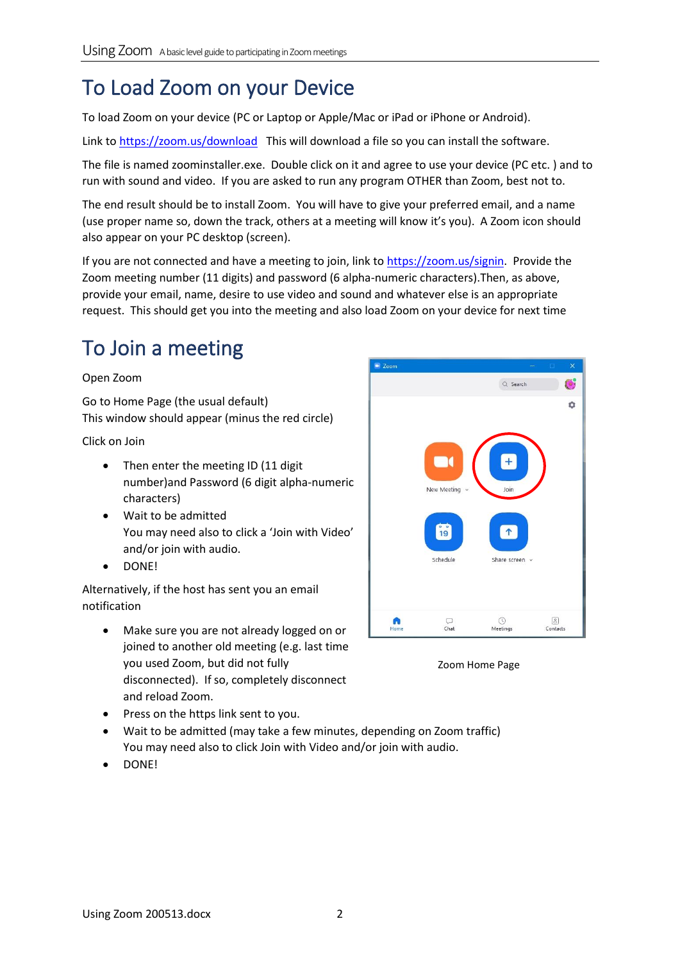## To Load Zoom on your Device

To load Zoom on your device (PC or Laptop or Apple/Mac or iPad or iPhone or Android).

Link to<https://zoom.us/download>This will download a file so you can install the software.

The file is named zoominstaller.exe. Double click on it and agree to use your device (PC etc. ) and to run with sound and video. If you are asked to run any program OTHER than Zoom, best not to.

The end result should be to install Zoom. You will have to give your preferred email, and a name (use proper name so, down the track, others at a meeting will know it's you). A Zoom icon should also appear on your PC desktop (screen).

If you are not connected and have a meeting to join, link t[o https://zoom.us/signin.](https://zoom.us/signin) Provide the Zoom meeting number (11 digits) and password (6 alpha-numeric characters).Then, as above, provide your email, name, desire to use video and sound and whatever else is an appropriate request. This should get you into the meeting and also load Zoom on your device for next time

### To Join a meeting

#### Open Zoom

Go to Home Page (the usual default) This window should appear (minus the red circle)

Click on Join

- Then enter the meeting ID (11 digit number)and Password (6 digit alpha-numeric characters)
- Wait to be admitted You may need also to click a 'Join with Video' and/or join with audio.
- DONE!

Alternatively, if the host has sent you an email notification

- Make sure you are not already logged on or joined to another old meeting (e.g. last time you used Zoom, but did not fully disconnected). If so, completely disconnect and reload Zoom.
- Press on the https link sent to you.
- Wait to be admitted (may take a few minutes, depending on Zoom traffic) You may need also to click Join with Video and/or join with audio.
- DONE!



Zoom Home Page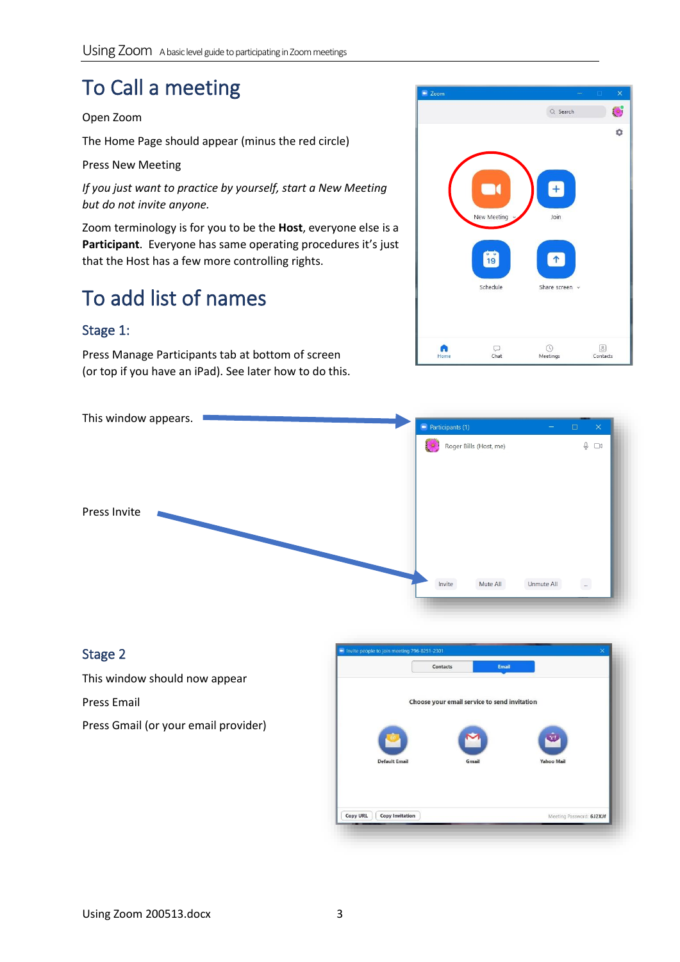## To Call a meeting

#### Open Zoom

The Home Page should appear (minus the red circle)

Press New Meeting

*If you just want to practice by yourself, start a New Meeting but do not invite anyone.*

Zoom terminology is for you to be the **Host**, everyone else is a Participant. Everyone has same operating procedures it's just that the Host has a few more controlling rights.

## To add list of names

#### Stage 1:

Press Manage Participants tab at bottom of screen (or top if you have an iPad). See later how to do this.





#### Stage 2

This window should now appear

Press Email

Press Gmail (or your email provider)

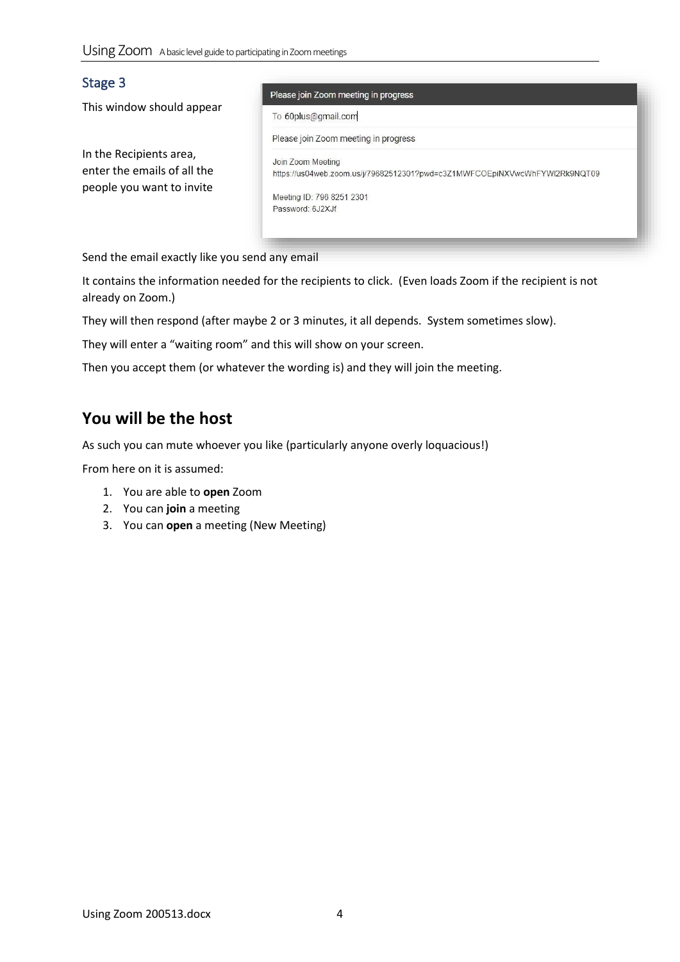#### Stage 3

This window should appear

In the Recipients area, enter the emails of all the people you want to invite

#### Please join Zoom meeting in progress

To 60plus@gmail.com

Please join Zoom meeting in progress

Join Zoom Meeting https://us04web.zoom.us/j/79682512301?pwd=c3Z1MWFCOEpiNXVwcWhFYWI2Rk9NQT09

Meeting ID: 796 8251 2301 Password: 6J2XJf

Send the email exactly like you send any email

It contains the information needed for the recipients to click. (Even loads Zoom if the recipient is not already on Zoom.)

They will then respond (after maybe 2 or 3 minutes, it all depends. System sometimes slow).

They will enter a "waiting room" and this will show on your screen.

Then you accept them (or whatever the wording is) and they will join the meeting.

### **You will be the host**

As such you can mute whoever you like (particularly anyone overly loquacious!)

From here on it is assumed:

- 1. You are able to **open** Zoom
- 2. You can **join** a meeting
- 3. You can **open** a meeting (New Meeting)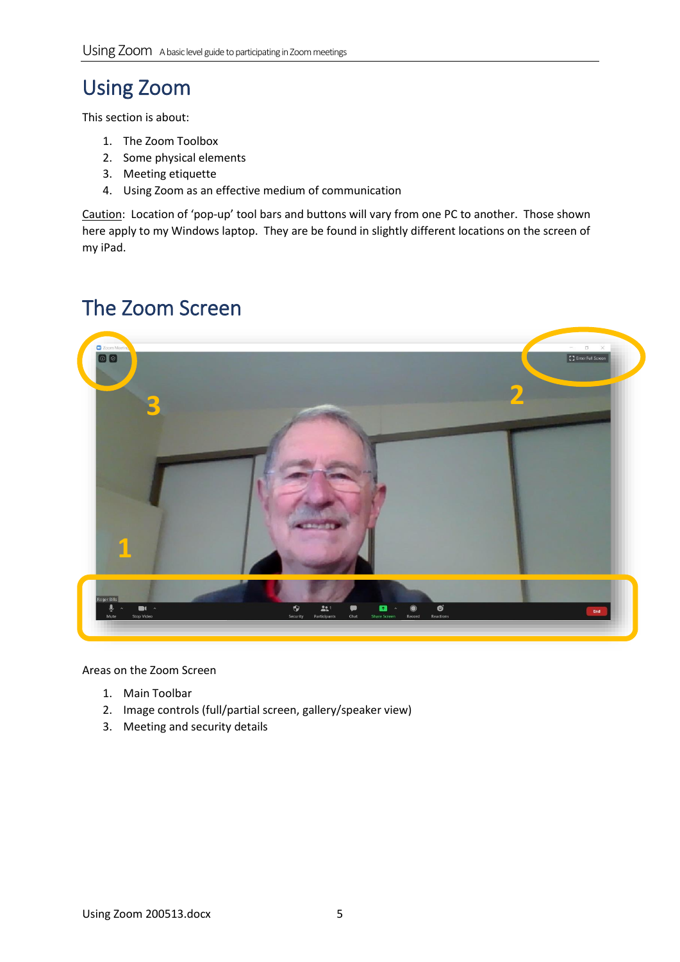## Using Zoom

This section is about:

- 1. The Zoom Toolbox
- 2. Some physical elements
- 3. Meeting etiquette
- 4. Using Zoom as an effective medium of communication

Caution: Location of 'pop-up' tool bars and buttons will vary from one PC to another. Those shown here apply to my Windows laptop. They are be found in slightly different locations on the screen of my iPad.

### The Zoom Screen



Areas on the Zoom Screen

- 1. Main Toolbar
- 2. Image controls (full/partial screen, gallery/speaker view)
- 3. Meeting and security details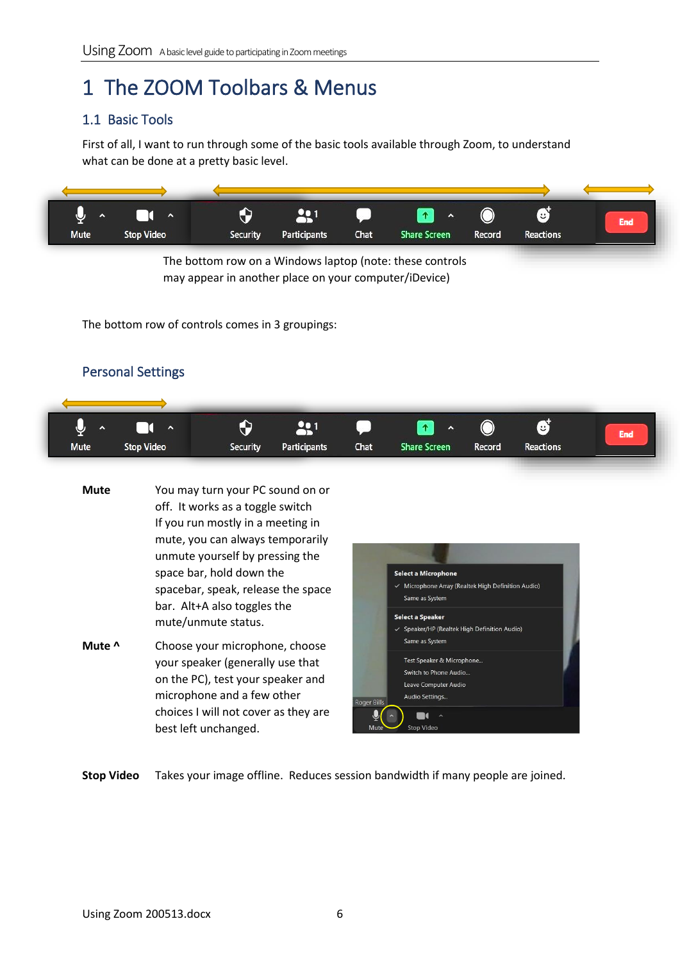### 1 The ZOOM Toolbars & Menus

#### 1.1 Basic Tools

First of all, I want to run through some of the basic tools available through Zoom, to understand what can be done at a pretty basic level.



The bottom row on a Windows laptop (note: these controls may appear in another place on your computer/iDevice)

The bottom row of controls comes in 3 groupings:

### Personal Settings



| <b>Mute</b> | You may turn your PC sound on or<br>off. It works as a toggle switch<br>If you run mostly in a meeting in<br>mute, you can always temporarily<br>unmute yourself by pressing the<br>space bar, hold down the | <b>Select a Microphone</b>                                                                                                                                        |
|-------------|--------------------------------------------------------------------------------------------------------------------------------------------------------------------------------------------------------------|-------------------------------------------------------------------------------------------------------------------------------------------------------------------|
|             | spacebar, speak, release the space<br>bar. Alt+A also toggles the<br>mute/unmute status.                                                                                                                     | $\checkmark$ Microphone Array (Realtek High Definition Audio)<br>Same as System<br>Select a Speaker<br>√ Speaker/HP (Realtek High Definition Audio)               |
| Mute ^      | Choose your microphone, choose<br>your speaker (generally use that<br>on the PC), test your speaker and<br>microphone and a few other<br>choices I will not cover as they are<br>best left unchanged.        | Same as System<br>Test Speaker & Microphone<br>Switch to Phone Audio<br>Leave Computer Audio<br>Audio Settings<br>Roger Bills<br><b>Stop Video</b><br><b>Mute</b> |

**Stop Video** Takes your image offline. Reduces session bandwidth if many people are joined.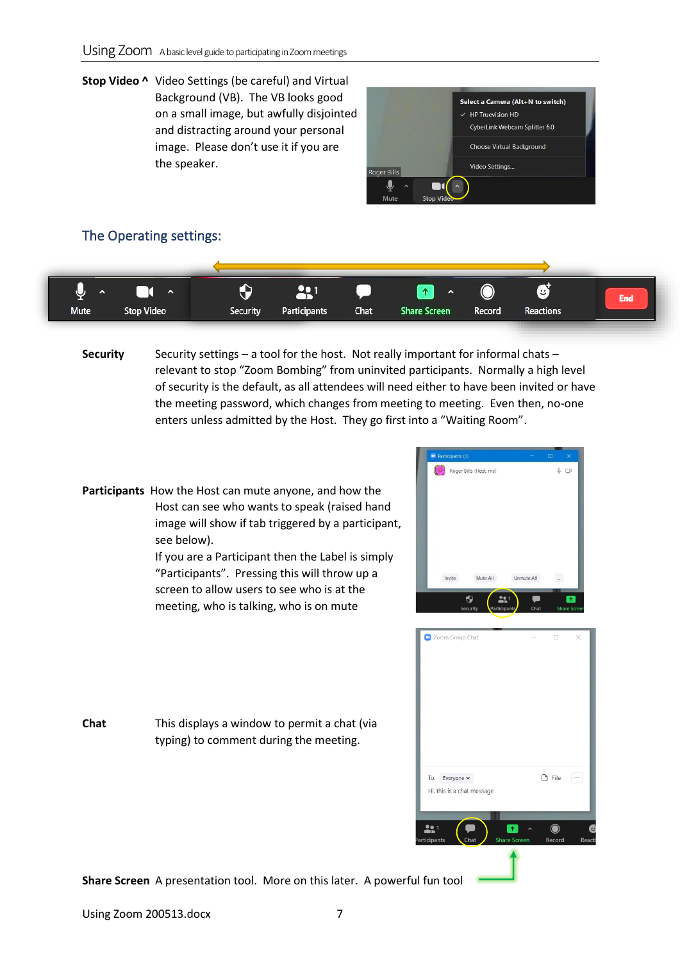**Stop Video ^** Video Settings (be careful) and Virtual Background (VB). The VB looks good on a small image, but awfully disjointed and distracting around your personal image. Please don't use it if you are the speaker.



#### The Operating settings:



**Security** Security settings – a tool for the host. Not really important for informal chats – relevant to stop "Zoom Bombing" from uninvited participants. Normally a high level of security is the default, as all attendees will need either to have been invited or have the meeting password, which changes from meeting to meeting. Even then, no-one enters unless admitted by the Host. They go first into a "Waiting Room".

**Participants** How the Host can mute anyone, and how the Host can see who wants to speak (raised hand image will show if tab triggered by a participant, see below).

**Chat** This displays a window to permit a chat (via

typing) to comment during the meeting.

If you are a Participant then the Label is simply "Participants". Pressing this will throw up a screen to allow users to see who is at the meeting, who is talking, who is on mute





**Share Screen** A presentation tool. More on this later. A powerful fun tool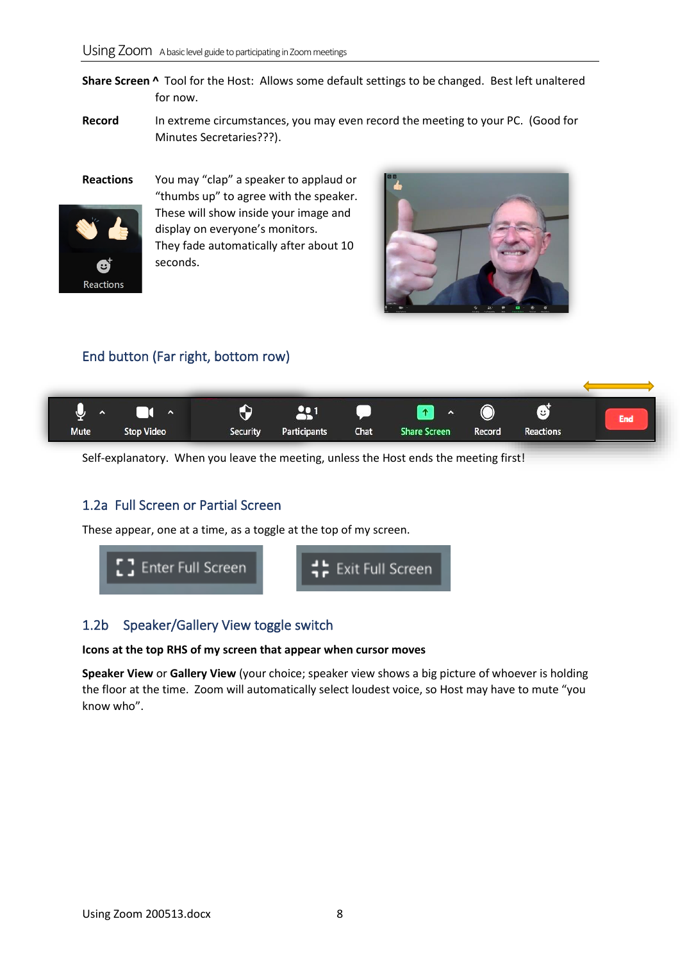**Share Screen ^** Tool for the Host: Allows some default settings to be changed. Best left unaltered for now.

Record In extreme circumstances, you may even record the meeting to your PC. (Good for Minutes Secretaries???).

**Reactions** You may "clap" a speaker to applaud or "thumbs up" to agree with the speaker. These will show inside your image and display on everyone's monitors. They fade automatically after about 10 seconds.



#### End button (Far right, bottom row)

Reactions



Self-explanatory. When you leave the meeting, unless the Host ends the meeting first!

#### 1.2a Full Screen or Partial Screen

These appear, one at a time, as a toggle at the top of my screen.



#### 1.2b Speaker/Gallery View toggle switch

#### **Icons at the top RHS of my screen that appear when cursor moves**

**Speaker View** or **Gallery View** (your choice; speaker view shows a big picture of whoever is holding the floor at the time. Zoom will automatically select loudest voice, so Host may have to mute "you know who".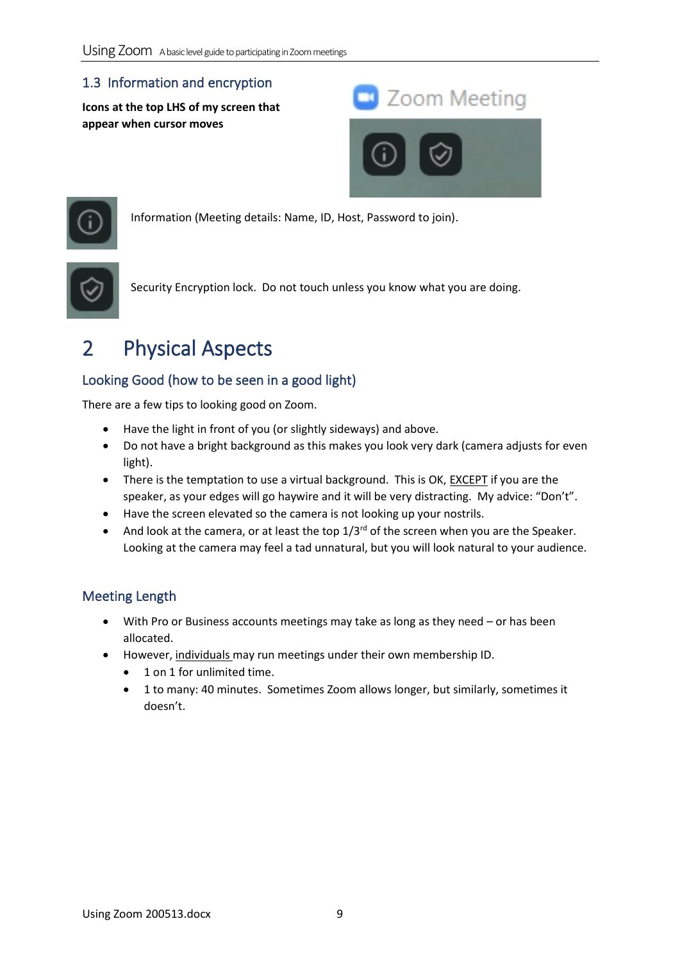### 1.3 Information and encryption

**Icons at the top LHS of my screen that appear when cursor moves**





Information (Meeting details: Name, ID, Host, Password to join).



Security Encryption lock. Do not touch unless you know what you are doing.

## 2 Physical Aspects

### Looking Good (how to be seen in a good light)

There are a few tips to looking good on Zoom.

- Have the light in front of you (or slightly sideways) and above.
- Do not have a bright background as this makes you look very dark (camera adjusts for even light).
- There is the temptation to use a virtual background. This is OK, EXCEPT if you are the speaker, as your edges will go haywire and it will be very distracting. My advice: "Don't".
- Have the screen elevated so the camera is not looking up your nostrils.
- And look at the camera, or at least the top  $1/3^{rd}$  of the screen when you are the Speaker. Looking at the camera may feel a tad unnatural, but you will look natural to your audience.

### Meeting Length

- With Pro or Business accounts meetings may take as long as they need or has been allocated.
- However, individuals may run meetings under their own membership ID.
	- 1 on 1 for unlimited time.
	- 1 to many: 40 minutes. Sometimes Zoom allows longer, but similarly, sometimes it doesn't.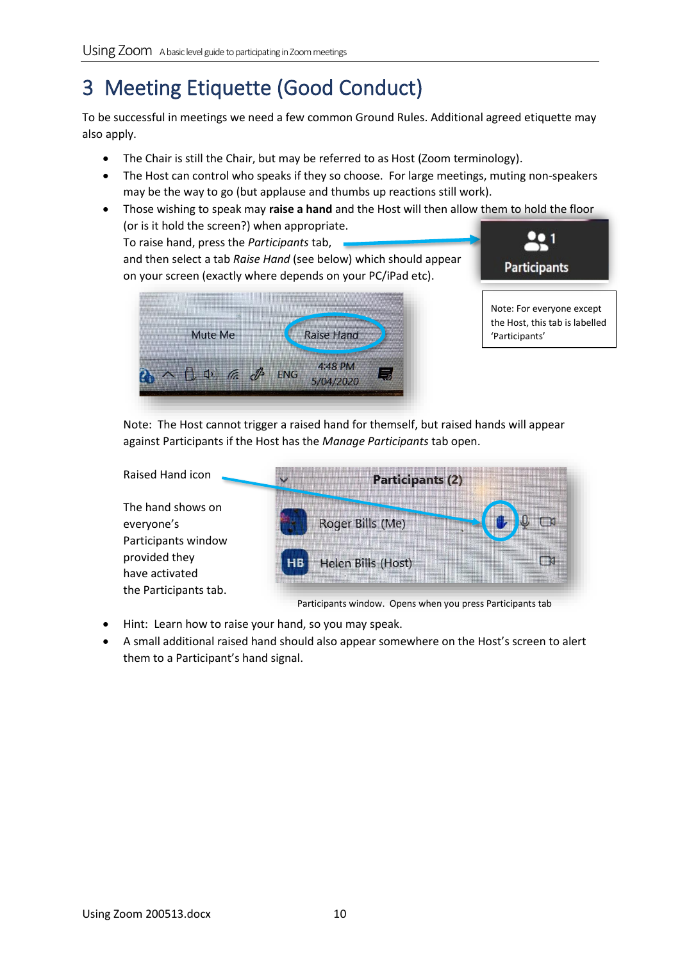## 3 Meeting Etiquette (Good Conduct)

To be successful in meetings we need a few common Ground Rules. Additional agreed etiquette may also apply.

- The Chair is still the Chair, but may be referred to as Host (Zoom terminology).
- The Host can control who speaks if they so choose. For large meetings, muting non-speakers may be the way to go (but applause and thumbs up reactions still work).
- Those wishing to speak may **raise a hand** and the Host will then allow them to hold the floor (or is it hold the screen?) when appropriate.

To raise hand, press the *Participants* tab, and then select a tab *Raise Hand* (see below) which should appear on your screen (exactly where depends on your PC/iPad etc).





Note: The Host cannot trigger a raised hand for themself, but raised hands will appear against Participants if the Host has the *Manage Participants* tab open.

| Raised Hand icon                                         | <b>Participants (2)</b>              |  |  |  |  |  |  |  |
|----------------------------------------------------------|--------------------------------------|--|--|--|--|--|--|--|
| The hand shows on<br>everyone's<br>Participants window   | Roger Bills (Me)                     |  |  |  |  |  |  |  |
| provided they<br>have activated<br>the Participants tab. | Helen Bills (Host)<br>H <sub>B</sub> |  |  |  |  |  |  |  |

Participants window. Opens when you press Participants tab

- Hint: Learn how to raise your hand, so you may speak.
- A small additional raised hand should also appear somewhere on the Host's screen to alert them to a Participant's hand signal.